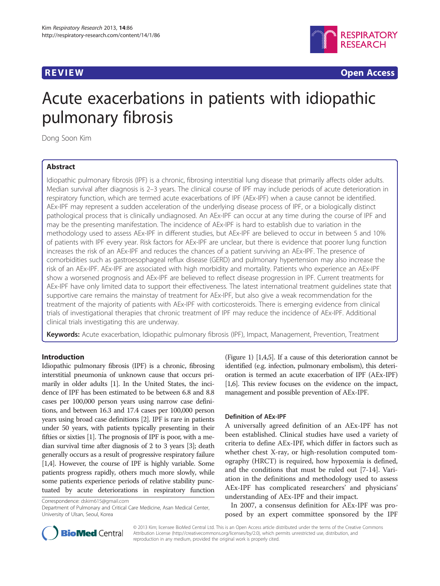

**REVIEW CONSTRUCTION CONSTRUCTION CONSTRUCTION CONSTRUCTION CONSTRUCTION CONSTRUCTION CONSTRUCTION CONSTRUCTION** 

# Acute exacerbations in patients with idiopathic pulmonary fibrosis

Dong Soon Kim

# Abstract

Idiopathic pulmonary fibrosis (IPF) is a chronic, fibrosing interstitial lung disease that primarily affects older adults. Median survival after diagnosis is 2–3 years. The clinical course of IPF may include periods of acute deterioration in respiratory function, which are termed acute exacerbations of IPF (AEx-IPF) when a cause cannot be identified. AEx-IPF may represent a sudden acceleration of the underlying disease process of IPF, or a biologically distinct pathological process that is clinically undiagnosed. An AEx-IPF can occur at any time during the course of IPF and may be the presenting manifestation. The incidence of AEx-IPF is hard to establish due to variation in the methodology used to assess AEx-IPF in different studies, but AEx-IPF are believed to occur in between 5 and 10% of patients with IPF every year. Risk factors for AEx-IPF are unclear, but there is evidence that poorer lung function increases the risk of an AEx-IPF and reduces the chances of a patient surviving an AEx-IPF. The presence of comorbidities such as gastroesophageal reflux disease (GERD) and pulmonary hypertension may also increase the risk of an AEx-IPF. AEx-IPF are associated with high morbidity and mortality. Patients who experience an AEx-IPF show a worsened prognosis and AEx-IPF are believed to reflect disease progression in IPF. Current treatments for AEx-IPF have only limited data to support their effectiveness. The latest international treatment guidelines state that supportive care remains the mainstay of treatment for AEx-IPF, but also give a weak recommendation for the treatment of the majority of patients with AEx-IPF with corticosteroids. There is emerging evidence from clinical trials of investigational therapies that chronic treatment of IPF may reduce the incidence of AEx-IPF. Additional clinical trials investigating this are underway.

Keywords: Acute exacerbation, Idiopathic pulmonary fibrosis (IPF), Impact, Management, Prevention, Treatment

# Introduction

Idiopathic pulmonary fibrosis (IPF) is a chronic, fibrosing interstitial pneumonia of unknown cause that occurs primarily in older adults [[1](#page-4-0)]. In the United States, the incidence of IPF has been estimated to be between 6.8 and 8.8 cases per 100,000 person years using narrow case definitions, and between 16.3 and 17.4 cases per 100,000 person years using broad case definitions [\[2\]](#page-5-0). IPF is rare in patients under 50 years, with patients typically presenting in their fifties or sixties [[1](#page-4-0)]. The prognosis of IPF is poor, with a median survival time after diagnosis of 2 to 3 years [[3\]](#page-5-0); death generally occurs as a result of progressive respiratory failure [[1](#page-4-0)[,4](#page-5-0)]. However, the course of IPF is highly variable. Some patients progress rapidly, others much more slowly, while some patients experience periods of relative stability punctuated by acute deteriorations in respiratory function

Correspondence: [dskim615@gmail.com](mailto:dskim615@gmail.com)

Department of Pulmonary and Critical Care Medicine, Asan Medical Center, University of Ulsan, Seoul, Korea

(Figure [1](#page-1-0)) [[1](#page-4-0)[,4,5\]](#page-5-0). If a cause of this deterioration cannot be identified (e.g. infection, pulmonary embolism), this deterioration is termed an acute exacerbation of IPF (AEx-IPF) [[1](#page-4-0)[,6](#page-5-0)]. This review focuses on the evidence on the impact, management and possible prevention of AEx-IPF.

# Definition of AEx-IPF

A universally agreed definition of an AEx-IPF has not been established. Clinical studies have used a variety of criteria to define AEx-IPF, which differ in factors such as whether chest X-ray, or high-resolution computed tomography (HRCT) is required, how hypoxemia is defined, and the conditions that must be ruled out [[7-14\]](#page-5-0). Variation in the definitions and methodology used to assess AEx-IPF has complicated researchers' and physicians' understanding of AEx-IPF and their impact.

In 2007, a consensus definition for AEx-IPF was proposed by an expert committee sponsored by the IPF



© 2013 Kim; licensee BioMed Central Ltd. This is an Open Access article distributed under the terms of the Creative Commons Attribution License (<http://creativecommons.org/licenses/by/2.0>), which permits unrestricted use, distribution, and reproduction in any medium, provided the original work is properly cited.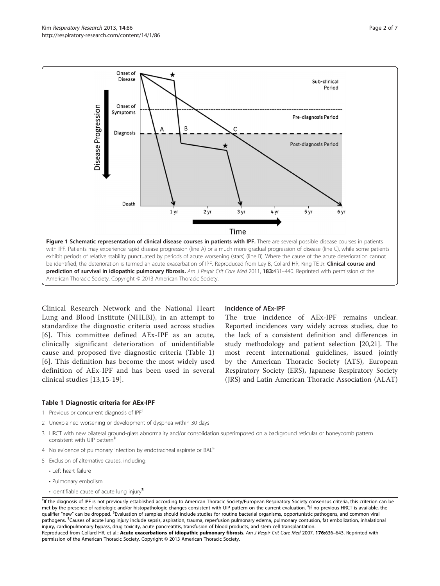Disease Progression

<span id="page-1-0"></span>Onset of **Disease** 

Onset of

Symptoms

Diagnosis

Death



 $1<sub>yr</sub>$ 2 yr 3 yr 5 yr 6 yr 4 yr Time Figure 1 Schematic representation of clinical disease courses in patients with IPF. There are several possible disease courses in patients with IPF. Patients may experience rapid disease progression (line A) or a much more gradual progression of disease (line C), while some patients exhibit periods of relative stability punctuated by periods of acute worsening (stars) (line B). Where the cause of the acute deterioration cannot be identified, the deterioration is termed an acute exacerbation of IPF. Reproduced from Ley B, Collard HR, King TE Jr: Clinical course and prediction of survival in idiopathic pulmonary fibrosis. Am J Respir Crit Care Med 2011, 183:431-440. Reprinted with permission of the American Thoracic Society. Copyright © 2013 American Thoracic Society.

Clinical Research Network and the National Heart Lung and Blood Institute (NHLBI), in an attempt to standardize the diagnostic criteria used across studies [[6](#page-5-0)]. This committee defined AEx-IPF as an acute, clinically significant deterioration of unidentifiable cause and proposed five diagnostic criteria (Table 1) [[6](#page-5-0)]. This definition has become the most widely used definition of AEx-IPF and has been used in several clinical studies [\[13](#page-5-0),[15](#page-5-0)-[19\]](#page-5-0).

#### Incidence of AEx-IPF

The true incidence of AEx-IPF remains unclear. Reported incidences vary widely across studies, due to the lack of a consistent definition and differences in study methodology and patient selection [[20,21\]](#page-5-0). The most recent international guidelines, issued jointly by the American Thoracic Society (ATS), European Respiratory Society (ERS), Japanese Respiratory Society (JRS) and Latin American Thoracic Association (ALAT)

Post-diagnosis Period

#### Table 1 Diagnostic criteria for AEx-IPF

- 1 Previous or concurrent diagnosis of IPF<sup>†</sup>
- 2 Unexplained worsening or development of dyspnea within 30 days
- 3 HRCT with new bilateral ground-glass abnormality and/or consolidation superimposed on a background reticular or honeycomb pattern consistent with UIP pattern<sup>+</sup>
- 4 No evidence of pulmonary infection by endotracheal aspirate or BAL<sup>§</sup>
- 5 Exclusion of alternative causes, including:
	- Left heart failure
	- Pulmonary embolism
	- Identifiable cause of acute lung injury<sup>1</sup>

† If the diagnosis of IPF is not previously established according to American Thoracic Society/European Respiratory Society consensus criteria, this criterion can be met by the presence of radiologic and/or histopathologic changes consistent with UIP pattern on the current evaluation. <sup>‡</sup>If no previous HRCT is available, the qualifier "new" can be dropped. <sup>s</sup>Evaluation of samples should include studies for routine bacterial organisms, opportunistic pathogens, and common viral pathogens. ¶ Causes of acute lung injury include sepsis, aspiration, trauma, reperfusion pulmonary edema, pulmonary contusion, fat embolization, inhalational injury, cardiopulmonary bypass, drug toxicity, acute pancreatitis, transfusion of blood products, and stem cell transplantation. Reproduced from Collard HR, et al.: Acute exacerbations of idiopathic pulmonary fibrosis. Am J Respir Crit Care Med 2007, 176:636-643. Reprinted with permission of the American Thoracic Society. Copyright © 2013 American Thoracic Society.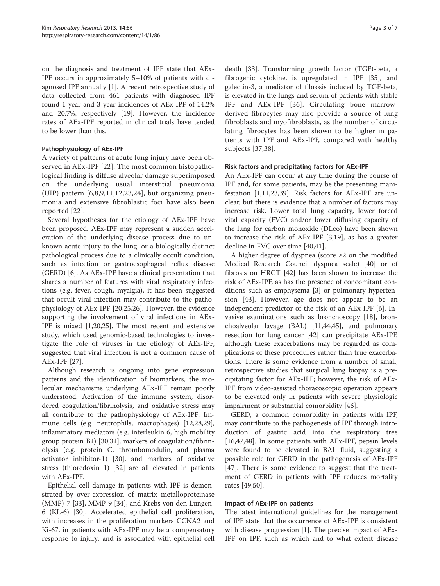on the diagnosis and treatment of IPF state that AEx-IPF occurs in approximately 5–10% of patients with diagnosed IPF annually [\[1](#page-4-0)]. A recent retrospective study of data collected from 461 patients with diagnosed IPF found 1-year and 3-year incidences of AEx-IPF of 14.2% and 20.7%, respectively [[19\]](#page-5-0). However, the incidence rates of AEx-IPF reported in clinical trials have tended to be lower than this.

# Pathophysiology of AEx-IPF

A variety of patterns of acute lung injury have been observed in AEx-IPF [[22](#page-5-0)]. The most common histopathological finding is diffuse alveolar damage superimposed on the underlying usual interstitial pneumonia (UIP) pattern  $[6,8,9,11,12,23,24]$  $[6,8,9,11,12,23,24]$  $[6,8,9,11,12,23,24]$  $[6,8,9,11,12,23,24]$  $[6,8,9,11,12,23,24]$  $[6,8,9,11,12,23,24]$  $[6,8,9,11,12,23,24]$  $[6,8,9,11,12,23,24]$  $[6,8,9,11,12,23,24]$ , but organizing pneumonia and extensive fibroblastic foci have also been reported [[22](#page-5-0)].

Several hypotheses for the etiology of AEx-IPF have been proposed. AEx-IPF may represent a sudden acceleration of the underlying disease process due to unknown acute injury to the lung, or a biologically distinct pathological process due to a clinically occult condition, such as infection or gastroesophageal reflux disease (GERD) [\[6](#page-5-0)]. As AEx-IPF have a clinical presentation that shares a number of features with viral respiratory infections (e.g. fever, cough, myalgia), it has been suggested that occult viral infection may contribute to the pathophysiology of AEx-IPF [\[20,25,26](#page-5-0)]. However, the evidence supporting the involvement of viral infections in AEx-IPF is mixed [\[1](#page-4-0)[,20,25\]](#page-5-0). The most recent and extensive study, which used genomic-based technologies to investigate the role of viruses in the etiology of AEx-IPF, suggested that viral infection is not a common cause of AEx-IPF [[27](#page-5-0)].

Although research is ongoing into gene expression patterns and the identification of biomarkers, the molecular mechanisms underlying AEx-IPF remain poorly understood. Activation of the immune system, disordered coagulation/fibrinolysis, and oxidative stress may all contribute to the pathophysiology of AEx-IPF. Immune cells (e.g. neutrophils, macrophages) [\[12,28,29](#page-5-0)], inflammatory mediators (e.g. interleukin 6, high mobility group protein B1) [[30](#page-5-0),[31](#page-5-0)], markers of coagulation/fibrinolysis (e.g. protein C, thrombomodulin, and plasma activator inhibitor-1) [[30](#page-5-0)], and markers of oxidative stress (thioredoxin 1) [[32](#page-5-0)] are all elevated in patients with AEx-IPF.

Epithelial cell damage in patients with IPF is demonstrated by over-expression of matrix metalloproteinase (MMP)-7 [\[33](#page-5-0)], MMP-9 [[34](#page-5-0)], and Krebs von den Lungen-6 (KL-6) [\[30](#page-5-0)]. Accelerated epithelial cell proliferation, with increases in the proliferation markers CCNA2 and Ki-67, in patients with AEx-IPF may be a compensatory response to injury, and is associated with epithelial cell

death [[33](#page-5-0)]. Transforming growth factor (TGF)-beta, a fibrogenic cytokine, is upregulated in IPF [[35\]](#page-5-0), and galectin-3, a mediator of fibrosis induced by TGF-beta, is elevated in the lungs and serum of patients with stable IPF and AEx-IPF [[36](#page-5-0)]. Circulating bone marrowderived fibrocytes may also provide a source of lung fibroblasts and myofibroblasts, as the number of circulating fibrocytes has been shown to be higher in patients with IPF and AEx-IPF, compared with healthy subjects [[37,38\]](#page-5-0).

# Risk factors and precipitating factors for AEx-IPF

An AEx-IPF can occur at any time during the course of IPF and, for some patients, may be the presenting manifestation [\[1](#page-4-0)[,11,23,39](#page-5-0)]. Risk factors for AEx-IPF are unclear, but there is evidence that a number of factors may increase risk. Lower total lung capacity, lower forced vital capacity (FVC) and/or lower diffusing capacity of the lung for carbon monoxide (DLco) have been shown to increase the risk of AEx-IPF [[3,19\]](#page-5-0), as has a greater decline in FVC over time [\[40,41](#page-5-0)].

A higher degree of dyspnea (score  $\geq 2$  on the modified Medical Research Council dyspnea scale) [\[40\]](#page-5-0) or of fibrosis on HRCT [\[42](#page-5-0)] has been shown to increase the risk of AEx-IPF, as has the presence of concomitant conditions such as emphysema [\[3](#page-5-0)] or pulmonary hypertension [\[43](#page-6-0)]. However, age does not appear to be an independent predictor of the risk of an AEx-IPF [[6](#page-5-0)]. Invasive examinations such as bronchoscopy [\[18](#page-5-0)], bronchoalveolar lavage (BAL) [[11](#page-5-0),[44](#page-6-0),[45](#page-6-0)], and pulmonary resection for lung cancer [[42\]](#page-5-0) can precipitate AEx-IPF, although these exacerbations may be regarded as complications of these procedures rather than true exacerbations. There is some evidence from a number of small, retrospective studies that surgical lung biopsy is a precipitating factor for AEx-IPF; however, the risk of AEx-IPF from video-assisted thoracoscopic operation appears to be elevated only in patients with severe physiologic impairment or substantial comorbidity [\[46](#page-6-0)].

GERD, a common comorbidity in patients with IPF, may contribute to the pathogenesis of IPF through introduction of gastric acid into the respiratory tree [[16,](#page-5-0)[47,48\]](#page-6-0). In some patients with AEx-IPF, pepsin levels were found to be elevated in BAL fluid, suggesting a possible role for GERD in the pathogenesis of AEx-IPF [[47\]](#page-6-0). There is some evidence to suggest that the treatment of GERD in patients with IPF reduces mortality rates [\[49,50](#page-6-0)].

# Impact of AEx-IPF on patients

The latest international guidelines for the management of IPF state that the occurrence of AEx-IPF is consistent with disease progression [\[1](#page-4-0)]. The precise impact of AEx-IPF on IPF, such as which and to what extent disease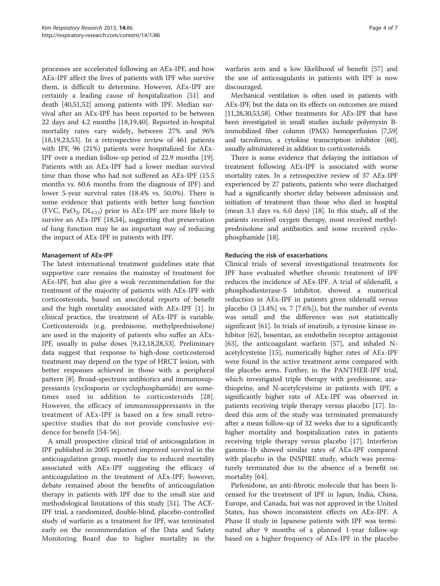processes are accelerated following an AEx-IPF, and how AEx-IPF affect the lives of patients with IPF who survive them, is difficult to determine. However, AEx-IPF are certainly a leading cause of hospitalization [\[51](#page-6-0)] and death [[40](#page-5-0),[51](#page-6-0),[52](#page-6-0)] among patients with IPF. Median survival after an AEx-IPF has been reported to be between 22 days and 4.2 months [\[18,19,40](#page-5-0)]. Reported in-hospital mortality rates vary widely, between 27% and 96% [[18,19,23,](#page-5-0)[53\]](#page-6-0). In a retrospective review of 461 patients with IPF, 96 (21%) patients were hospitalized for AEx-IPF over a median follow-up period of 22.9 months [\[19](#page-5-0)]. Patients with an AEx-IPF had a lower median survival time than those who had not suffered an AEx-IPF (15.5 months vs. 60.6 months from the diagnosis of IPF) and lower 5-year survival rates (18.4% vs. 50.0%). There is some evidence that patients with better lung function (FVC, PaO<sub>2</sub>, DL<sub>CO</sub>) prior to AEx-IPF are more likely to survive an AEx-IPF [[18,](#page-5-0)[54\]](#page-6-0), suggesting that preservation of lung function may be an important way of reducing the impact of AEx-IPF in patients with IPF.

# Management of AEx-IPF

The latest international treatment guidelines state that supportive care remains the mainstay of treatment for AEx-IPF, but also give a weak recommendation for the treatment of the majority of patients with AEx-IPF with corticosteroids, based on anecdotal reports of benefit and the high mortality associated with AEx-IPF [\[1](#page-4-0)]. In clinical practice, the treatment of AEx-IPF is variable. Corticosteroids (e.g. prednisone, methylprednisolone) are used in the majority of patients who suffer an AEx-IPF, usually in pulse doses [\[9,12,18,28,](#page-5-0)[53\]](#page-6-0). Preliminary data suggest that response to high-dose corticosteroid treatment may depend on the type of HRCT lesion, with better responses achieved in those with a peripheral pattern [\[8](#page-5-0)]. Broad-spectrum antibiotics and immunosuppressants (cyclosporin or cyclophosphamide) are sometimes used in addition to corticosteroids [[28](#page-5-0)]. However, the efficacy of immunosuppressants in the treatment of AEx-IPF is based on a few small retrospective studies that do not provide conclusive evidence for benefit [\[54](#page-6-0)-[56](#page-6-0)].

A small prospective clinical trial of anticoagulation in IPF published in 2005 reported improved survival in the anticoagulation group, mostly due to reduced mortality associated with AEx-IPF suggesting the efficacy of anticoagulation in the treatment of AEx-IPF; however, debate remained about the benefits of anticoagulation therapy in patients with IPF due to the small size and methodological limitations of this study [\[51](#page-6-0)]. The ACE-IPF trial, a randomized, double-blind, placebo-controlled study of warfarin as a treatment for IPF, was terminated early on the recommendation of the Data and Safety Monitoring Board due to higher mortality in the warfarin arm and a low likelihood of benefit [[57\]](#page-6-0) and the use of anticoagulants in patients with IPF is now discouraged.

Mechanical ventilation is often used in patients with AEx-IPF, but the data on its effects on outcomes are mixed [[11,28,30](#page-5-0)[,53,58\]](#page-6-0). Other treatments for AEx-IPF that have been investigated in small studies include polymyxin Bimmobilized fiber column (PMX) hemoperfusion [\[7](#page-5-0)[,59](#page-6-0)] and tacrolimus, a cytokine transcription inhibitor [\[60](#page-6-0)], usually administered in addition to corticosteroids.

There is some evidence that delaying the initiation of treatment following AEx-IPF is associated with worse mortality rates. In a retrospective review of 37 AEx-IPF experienced by 27 patients, patients who were discharged had a significantly shorter delay between admission and initiation of treatment than those who died in hospital (mean 3.1 days vs. 6.0 days) [\[18\]](#page-5-0). In this study, all of the patients received oxygen therapy, most received methylprednisolone and antibiotics and some received cyclophosphamide [\[18\]](#page-5-0).

#### Reducing the risk of exacerbations

Clinical trials of several investigational treatments for IPF have evaluated whether chronic treatment of IPF reduces the incidence of AEx-IPF. A trial of sildenafil, a phosphodiesterase-5 inhibitor, showed a numerical reduction in AEx-IPF in patients given sildenafil versus placebo  $(3 \, [3.4\%] \, \text{vs. } 7 \, [7.6\%])$ , but the number of events was small and the difference was not statistically significant [[61](#page-6-0)]. In trials of imatinib, a tyrosine kinase in-hibitor [[62](#page-6-0)], bosentan, an endothelin receptor antagonist [[63\]](#page-6-0), the anticoagulant warfarin [[57](#page-6-0)], and inhaled Nacetylcysteine [[15\]](#page-5-0), numerically higher rates of AEx-IPF were found in the active treatment arms compared with the placebo arms. Further, in the PANTHER-IPF trial, which investigated triple therapy with prednisone, azathioprine, and N-acetylcysteine in patients with IPF, a significantly higher rate of AEx-IPF was observed in patients receiving triple therapy versus placebo [[17](#page-5-0)]. Indeed this arm of the study was terminated prematurely after a mean follow-up of 32 weeks due to a significantly higher mortality and hospitalization rates in patients receiving triple therapy versus placebo [\[17](#page-5-0)]. Interferon gamma-1b showed similar rates of AEx-IPF compared with placebo in the INSPIRE study, which was prematurely terminated due to the absence of a benefit on mortality [\[64\]](#page-6-0).

Pirfenidone, an anti-fibrotic molecule that has been licensed for the treatment of IPF in Japan, India, China, Europe, and Canada, but was not approved in the United States, has shown inconsistent effects on AEx-IPF. A Phase II study in Japanese patients with IPF was terminated after 9 months of a planned 1-year follow-up based on a higher frequency of AEx-IPF in the placebo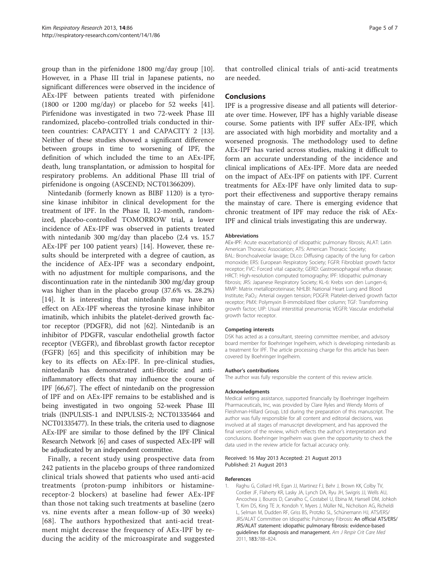<span id="page-4-0"></span>group than in the pirfenidone 1800 mg/day group [\[10](#page-5-0)]. However, in a Phase III trial in Japanese patients, no significant differences were observed in the incidence of AEx-IPF between patients treated with pirfenidone (1800 or 1200 mg/day) or placebo for 52 weeks [\[41](#page-5-0)]. Pirfenidone was investigated in two 72-week Phase III randomized, placebo-controlled trials conducted in thirteen countries: CAPACITY 1 and CAPACITY 2 [\[13](#page-5-0)]. Neither of these studies showed a significant difference between groups in time to worsening of IPF, the definition of which included the time to an AEx-IPF, death, lung transplantation, or admission to hospital for respiratory problems. An additional Phase III trial of pirfenidone is ongoing (ASCEND; NCT01366209).

Nintedanib (formerly known as BIBF 1120) is a tyrosine kinase inhibitor in clinical development for the treatment of IPF. In the Phase II, 12-month, randomized, placebo-controlled TOMORROW trial, a lower incidence of AEx-IPF was observed in patients treated with nintedanib 300 mg/day than placebo (2.4 vs. 15.7 AEx-IPF per 100 patient years) [\[14](#page-5-0)]. However, these results should be interpreted with a degree of caution, as the incidence of AEx-IPF was a secondary endpoint, with no adjustment for multiple comparisons, and the discontinuation rate in the nintedanib 300 mg/day group was higher than in the placebo group (37.6% vs. 28.2%) [[14\]](#page-5-0). It is interesting that nintedanib may have an effect on AEx-IPF whereas the tyrosine kinase inhibitor imatinib, which inhibits the platelet-derived growth factor receptor (PDGFR), did not [\[62\]](#page-6-0). Nintedanib is an inhibitor of PDGFR, vascular endothelial growth factor receptor (VEGFR), and fibroblast growth factor receptor (FGFR) [\[65\]](#page-6-0) and this specificity of inhibition may be key to its effects on AEx-IPF. In pre-clinical studies, nintedanib has demonstrated anti-fibrotic and antiinflammatory effects that may influence the course of IPF [\[66,67](#page-6-0)]. The effect of nintedanib on the progression of IPF and on AEx-IPF remains to be established and is being investigated in two ongoing 52-week Phase III trials (INPULSIS-1 and INPULSIS-2; NCT01335464 and NCT01335477). In these trials, the criteria used to diagnose AEx-IPF are similar to those defined by the IPF Clinical Research Network [\[6](#page-5-0)] and cases of suspected AEx-IPF will be adjudicated by an independent committee.

Finally, a recent study using prospective data from 242 patients in the placebo groups of three randomized clinical trials showed that patients who used anti-acid treatments (proton-pump inhibitors or histaminereceptor-2 blockers) at baseline had fewer AEx-IPF than those not taking such treatments at baseline (zero vs. nine events after a mean follow-up of 30 weeks) [[68](#page-6-0)]. The authors hypothesized that anti-acid treatment might decrease the frequency of AEx-IPF by reducing the acidity of the microaspirate and suggested

that controlled clinical trials of anti-acid treatments are needed.

#### **Conclusions**

IPF is a progressive disease and all patients will deteriorate over time. However, IPF has a highly variable disease course. Some patients with IPF suffer AEx-IPF, which are associated with high morbidity and mortality and a worsened prognosis. The methodology used to define AEx-IPF has varied across studies, making it difficult to form an accurate understanding of the incidence and clinical implications of AEx-IPF. More data are needed on the impact of AEx-IPF on patients with IPF. Current treatments for AEx-IPF have only limited data to support their effectiveness and supportive therapy remains the mainstay of care. There is emerging evidence that chronic treatment of IPF may reduce the risk of AEx-IPF and clinical trials investigating this are underway.

#### **Abbreviations**

AEx-IPF: Acute exacerbation(s) of idiopathic pulmonary fibrosis; ALAT: Latin American Thoracic Association; ATS: American Thoracic Society; BAL: Bronchoalveolar lavage; DLco: Diffusing capacity of the lung for carbon monoxide; ERS: European Respiratory Society; FGFR: Fibroblast growth factor receptor; FVC: Forced vital capacity; GERD: Gastroesophageal reflux disease; HRCT: High-resolution computed tomography; IPF: Idiopathic pulmonary fibrosis; JRS: Japanese Respiratory Society; KL-6: Krebs von den Lungen-6; MMP: Matrix metalloproteinase; NHLBI: National Heart Lung and Blood Institute; PaO<sub>2</sub>: Arterial oxygen tension; PDGFR: Platelet-derived growth factor receptor; PMX: Polymyxin B-immobilized fiber column; TGF: Transforming growth factor; UIP: Usual interstitial pneumonia; VEGFR: Vascular endothelial growth factor receptor.

#### Competing interests

DSK has acted as a consultant, steering committee member, and advisory board member for Boehringer Ingelheim, which is developing nintedanib as a treatment for IPF. The article processing charge for this article has been covered by Boehringer Ingelheim.

#### Author's contributions

The author was fully responsible the content of this review article.

#### Acknowledgments

Medical writing assistance, supported financially by Boehringer Ingelheim Pharmaceuticals, Inc, was provided by Clare Ryles and Wendy Morris of Fleishman-Hillard Group, Ltd during the preparation of this manuscript. The author was fully responsible for all content and editorial decisions, was involved at all stages of manuscript development, and has approved the final version of the review, which reflects the author's interpretation and conclusions. Boehringer Ingelheim was given the opportunity to check the data used in the review article for factual accuracy only.

#### Received: 16 May 2013 Accepted: 21 August 2013 Published: 21 August 2013

#### References

1. Raghu G, Collard HR, Egan JJ, Martinez FJ, Behr J, Brown KK, Colby TV, Cordier JF, Flaherty KR, Lasky JA, Lynch DA, Ryu JH, Swigris JJ, Wells AU, Ancochea J, Bouros D, Carvalho C, Costabel U, Ebina M, Hansell DM, Johkoh T, Kim DS, King TE Jr, Kondoh Y, Myers J, Müller NL, Nicholson AG, Richeldi L, Selman M, Dudden RF, Griss BS, Protzko SL, Schünemann HJ, ATS/ERS/ JRS/ALAT Committee on Idiopathic Pulmonary Fibrosis: An official ATS/ERS/ JRS/ALAT statement: idiopathic pulmonary fibrosis: evidence-based guidelines for diagnosis and management. Am J Respir Crit Care Med 2011, 183:788–824.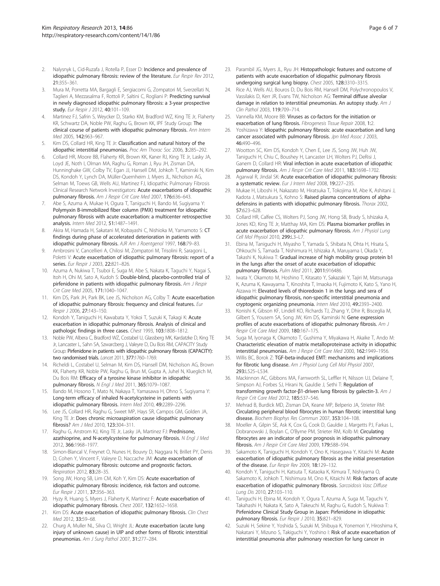- <span id="page-5-0"></span>2. Nalysnyk L, Cid-Ruzafa J, Rotella P, Esser D: Incidence and prevalence of idiopathic pulmonary fibrosis: review of the literature. Eur Respir Rev 2012, 21:355–361.
- 3. Mura M, Porretta MA, Bargagli E, Sergiacomi G, Zompatori M, Sverzellati N, Taglieri A, Mezzasalma F, Rottoli P, Saltini C, Rogliani P: Predicting survival in newly diagnosed idiopathic pulmonary fibrosis: a 3-year prospective study. Eur Respir J 2012, 40:101-109.
- 4. Martinez FJ, Safrin S, Weycker D, Starko KM, Bradford WZ, King TE Jr, Flaherty KR, Schwartz DA, Noble PW, Raghu G, Brown KK, IPF Study Group: The clinical course of patients with idiopathic pulmonary fibrosis. Ann Intern Med 2005, 142:963-967.
- 5. Kim DS, Collard HR, King TE Jr: Classification and natural history of the idiopathic interstitial pneumonias. Proc Am Thorac Soc 2006, 3:285–292.
- 6. Collard HR, Moore BB, Flaherty KR, Brown KK, Kaner RJ, King TE Jr, Lasky JA, Loyd JE, Noth I, Olman MA, Raghu G, Roman J, Ryu JH, Zisman DA, Hunninghake GW, Colby TV, Egan JJ, Hansell DM, Johkoh T, Kaminski N, Kim DS, Kondoh Y, Lynch DA, Müller-Quernheim J, Myers JL, Nicholson AG, Selman M, Toews GB, Wells AU, Martinez FJ, Idiopathic Pulmonary Fibrosis Clinical Research Network Investigators: Acute exacerbations of idiopathic pulmonary fibrosis. Am J Respir Crit Care Med 2007, 176:636-643.
- 7. Abe S, Azuma A, Mukae H, Ogura T, Taniguchi H, Bando M, Sugiyama Y: Polymyxin B-immobilized fiber column (PMX) treatment for idiopathic pulmonary fibrosis with acute exacerbation: a multicenter retrospective analysis. Intern Med 2012, 51:1487–1491.
- Akira M, Hamada H, Sakatani M, Kobayashi C, Nishioka M, Yamamoto S: CT findings during phase of accelerated deterioration in patients with idiopathic pulmonary fibrosis. AJR Am J Roentgenol 1997, 168:79-83.
- 9. Ambrosini V, Cancellieri A, Chilosi M, Zompatori M, Trisolini R, Saragoni L, Poletti V: Acute exacerbation of idiopathic pulmonary fibrosis: report of a series. Eur Respir J 2003, 22:821-826.
- 10. Azuma A, Nukiwa T, Tsuboi E, Suga M, Abe S, Nakata K, Taguchi Y, Nagai S, Itoh H, Ohi M, Sato A, Kudoh S: Double-blind, placebo-controlled trial of pirfenidone in patients with idiopathic pulmonary fibrosis. Am J Respir Crit Care Med 2005, 171:1040–1047.
- 11. Kim DS, Park JH, Park BK, Lee JS, Nicholson AG, Colby T: Acute exacerbation of idiopathic pulmonary fibrosis: frequency and clinical features. Eur Respir J 2006, 27:143–150.
- 12. Kondoh Y, Taniguchi H, Kawabata Y, Yokoi T, Suzuki K, Takagi K: Acute exacerbation in idiopathic pulmonary fibrosis. Analysis of clinical and pathologic findings in three cases. Chest 1993, 103:1808–1812.
- 13. Noble PW, Albera C, Bradford WZ, Costabel U, Glassberg MK, Kardatzke D, King TE Jr, Lancaster L, Sahn SA, Szwarcberg J, Valeyre D, Du Bois RM, CAPACITY Study Group: Pirfenidone in patients with idiopathic pulmonary fibrosis (CAPACITY): two randomised trials. Lancet 2011, 377:1760–1769.
- 14. Richeldi L, Costabel U, Selman M, Kim DS, Hansell DM, Nicholson AG, Brown KK, Flaherty KR, Noble PW, Raghu G, Brun M, Gupta A, Juhel N, Klueglich M, Du Bois RM: Efficacy of a tyrosine kinase inhibitor in idiopathic pulmonary fibrosis. N Engl J Med 2011, 365:1079-1087
- 15. Bando M, Hosono T, Mato N, Nakaya T, Yamasawa H, Ohno S, Sugiyama Y: Long-term efficacy of inhaled N-acetylcysteine in patients with idiopathic pulmonary fibrosis. Intern Med 2010, 49:2289–2296.
- 16. Lee JS, Collard HR, Raghu G, Sweet MP, Hays SR, Campos GM, Golden JA, King TE Jr: Does chronic microaspiration cause idiopathic pulmonary fibrosis? Am J Med 2010, 123:304–311.
- 17. Raghu G, Anstrom KJ, King TE Jr, Lasky JA, Martinez FJ: Prednisone, azathioprine, and N-acetylcysteine for pulmonary fibrosis. N Engl J Med 2012, 366:1968–1977.
- 18. Simon-Blancal V, Freynet O, Nunes H, Bouvry D, Naggara N, Brillet PY, Denis D, Cohen Y, Vincent F, Valeyre D, Naccache JM: Acute exacerbation of idiopathic pulmonary fibrosis: outcome and prognostic factors. Respiration 2012, 83:28–35.
- 19. Song JW, Hong SB, Lim CM, Koh Y, Kim DS: Acute exacerbation of idiopathic pulmonary fibrosis: incidence, risk factors and outcome. Eur Respir J 2011, 37:356–363.
- 20. Hyzy R, Huang S, Myers J, Flaherty K, Martinez F: Acute exacerbation of idiopathic pulmonary fibrosis. Chest 2007, 132:1652–1658.
- 21. Kim DS: Acute exacerbation of idiopathic pulmonary fibrosis. Clin Chest Med 2012, 33:59–68.
- 22. Churg A, Muller NL, Silva CI, Wright JL: Acute exacerbation (acute lung injury of unknown cause) in UIP and other forms of fibrotic interstitial pneumonias. Am J Surg Pathol 2007, 31:277–284.
- 23. Parambil JG, Myers JL, Ryu JH: Histopathologic features and outcome of patients with acute exacerbation of idiopathic pulmonary fibrosis undergoing surgical lung biopsy. Chest 2005, 128:3310–3315.
- 24. Rice AJ, Wells AU, Bouros D, Du Bois RM, Hansell DM, Polychronopoulos V, Vassilakis D, Kerr JR, Evans TW, Nicholson AG: Terminal diffuse alveolar damage in relation to interstitial pneumonias. An autopsy study. Am J Clin Pathol 2003, 119:709–714.
- 25. Vannella KM, Moore BB: Viruses as co-factors for the initiation or exacerbation of lung fibrosis. Fibrogenesis Tissue Repair 2008, 1:2.
- 26. Yoshizawa Y: Idiopathic pulmonary fibrosis: acute exacerbation and lung cancer associated with pulmonary fibrosis. Jpn Med Assoc J 2003, 46:490–496.
- 27. Wootton SC, Kim DS, Kondoh Y, Chen E, Lee JS, Song JW, Huh JW, Taniguchi H, Chiu C, Boushey H, Lancaster LH, Wolters PJ, DeRisi J, Ganem D, Collard HR: Viral infection in acute exacerbation of idiopathic pulmonary fibrosis. Am J Respir Crit Care Med 2011, 183:1698-1702.
- 28. Agarwal R, Jindal SK: Acute exacerbation of idiopathic pulmonary fibrosis: a systematic review. Eur J Intern Med 2008, 19:227–235.
- 29. Mukae H, Liboshi H, Nakazato M, Hiratsuka T, Tokojima M, Abe K, Ashitani J, Kadota J, Matsukura S, Kohno S: Raised plasma concentrations of alphadefensins in patients with idiopathic pulmonary fibrosis. Thorax 2002, 57:623–628.
- 30. Collard HR, Calfee CS, Wolters PJ, Song JW, Hong SB, Brady S, Ishizaka A, Jones KD, King TE Jr, Matthay MA, Kim DS: Plasma biomarker profiles in acute exacerbation of idiopathic pulmonary fibrosis. Am J Physiol Lung Cell Mol Physiol 2010, 299:L3–L7.
- 31. Ebina M, Taniguchi H, Miyasho T, Yamada S, Shibata N, Ohta H, Hisata S, Ohkouchi S, Tamada T, Nishimura H, Ishizaka A, Maruyama I, Okada Y, Takashi K, Nukiwa T: Gradual increase of high mobility group protein b1 in the lungs after the onset of acute exacerbation of idiopathic pulmonary fibrosis. Pulm Med 2011, 2011:916486.
- 32. Iwata Y, Okamoto M, Hoshino T, Kitasato Y, Sakazaki Y, Tajiri M, Matsunaga K, Azuma K, Kawayama T, Kinoshita T, Imaoka H, Fujimoto K, Kato S, Yano H, Aizawa H: Elevated levels of thioredoxin 1 in the lungs and sera of idiopathic pulmonary fibrosis, non-specific interstitial pneumonia and cryptogenic organizing pneumonia. Intern Med 2010, 49:2393–2400.
- 33. Konishi K, Gibson KF, Lindell KO, Richards TJ, Zhang Y, Dhir R, Bisceglia M, Gilbert S, Yousem SA, Song JW, Kim DS, Kaminski N: Gene expression profiles of acute exacerbations of idiopathic pulmonary fibrosis. Am J Respir Crit Care Med 2009, 180:167–175.
- 34. Suga M, Iyonaga K, Okamoto T, Gushima Y, Miyakawa H, Akaike T, Ando M: Characteristic elevation of matrix metalloproteinase activity in idiopathic interstitial pneumonias. Am J Respir Crit Care Med 2000, 162:1949–1956.
- 35. Willis BC, Borok Z: TGF-beta-induced EMT: mechanisms and implications for fibrotic lung disease. Am J Physiol Lung Cell Mol Physiol 2007, 293:L525–L534.
- 36. Mackinnon AC, Gibbons MA, Farnworth SL, Leffler H, Nilsson UJ, Delaine T, Simpson AJ, Forbes SJ, Hirani N, Gauldie J, Sethi T: Regulation of transforming growth factor-β1-driven lung fibrosis by galectin-3. Am J Respir Crit Care Med 2012, 185:537-546.
- 37. Mehrad B, Burdick MD, Zisman DA, Keane MP, Belperio JA, Strieter RM: Circulating peripheral blood fibrocytes in human fibrotic interstitial lung disease. Biochem Biophys Res Commun 2007, 353:104–108.
- 38. Moeller A, Gilpin SE, Ask K, Cox G, Cook D, Gauldie J, Margetts PJ, Farkas L, Dobranowski J, Boylan C, O'Byrne PM, Strieter RM, Kolb M: Circulating fibrocytes are an indicator of poor prognosis in idiopathic pulmonary fibrosis. Am J Respir Crit Care Med 2009, 179:588-594.
- 39. Sakamoto K, Taniguchi H, Kondoh Y, Ono K, Hasegawa Y, Kitaichi M: Acute exacerbation of idiopathic pulmonary fibrosis as the initial presentation of the disease. Eur Respir Rev 2009, 18:129–132.
- 40. Kondoh Y, Taniguchi H, Katsuta T, Kataoka K, Kimura T, Nishiyama O, Sakamoto K, Johkoh T, Nishimura M, Ono K, Kitaichi M: Risk factors of acute exacerbation of idiopathic pulmonary fibrosis. Sarcoidosis Vasc Diffuse Lung Dis 2010, 27:103–110.
- 41. Taniguchi H, Ebina M, Kondoh Y, Ogura T, Azuma A, Suga M, Taguchi Y, Takahashi H, Nakata K, Sato A, Takeuchi M, Raghu G, Kudoh S, Nukiwa T: Pirfenidone Clinical Study Group in Japan: Pirfenidone in idiopathic pulmonary fibrosis. Eur Respir J 2010, 35:821-829.
- 42. Suzuki H, Sekine Y, Yoshida S, Suzuki M, Shibuya K, Yonemori Y, Hiroshima K, Nakatani Y, Mizuno S, Takiguchi Y, Yoshino I: Risk of acute exacerbation of interstitial pneumonia after pulmonary resection for lung cancer in